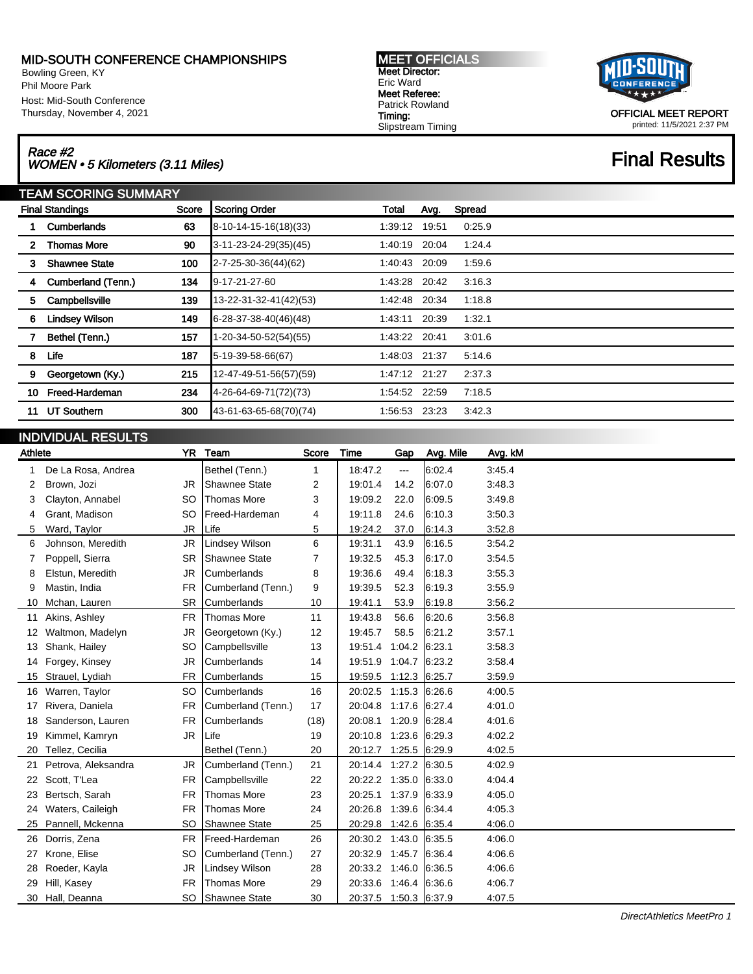# MID-SOUTH CONFERENCE CHAMPIONSHIPS

Bowling Green, KY Phil Moore Park Host: Mid-South Conference Thursday, November 4, 2021

### MEET OFFICIALS Meet Director: Eric Ward Meet Referee: Patrick Rowland Timing: Slipstream Timing



OFFICIAL MEET REPORT printed: 11/5/2021 2:37 PM

# Race #2<br>WOMEN • 5 Kilometers (3.11 Miles) Final Results

|    | <b>TEAM SCORING SUMMARY</b> |       |                                |               |       |        |  |  |
|----|-----------------------------|-------|--------------------------------|---------------|-------|--------|--|--|
|    | <b>Final Standings</b>      | Score | Scoring Order                  | Total         | Avg.  | Spread |  |  |
|    | <b>Cumberlands</b>          | 63    | $8-10-14-15-16(18)(33)$        | 1:39:12       | 19:51 | 0:25.9 |  |  |
| 2  | <b>Thomas More</b>          | 90    | 3-11-23-24-29(35)(45)          | 1.40.19       | 20:04 | 1:24.4 |  |  |
| 3  | <b>Shawnee State</b>        | 100   | $2 - 7 - 25 - 30 - 36(44)(62)$ | 1:40:43 20:09 |       | 1:59.6 |  |  |
| 4  | Cumberland (Tenn.)          | 134   | 9-17-21-27-60                  | 1:43:28       | 20:42 | 3:16.3 |  |  |
| 5  | Campbellsville              | 139   | 13-22-31-32-41(42)(53)         | 1:42:48       | 20:34 | 1:18.8 |  |  |
| 6  | <b>Lindsey Wilson</b>       | 149   | 6-28-37-38-40(46)(48)          | 1.43.11       | 20:39 | 1:32.1 |  |  |
|    | Bethel (Tenn.)              | 157   | 1-20-34-50-52(54)(55)          | 1:43:22 20:41 |       | 3:01.6 |  |  |
| 8  | Life                        | 187   | 5-19-39-58-66(67)              | 1:48:03       | 21:37 | 5:14.6 |  |  |
| 9  | Georgetown (Ky.)            | 215   | 12-47-49-51-56(57)(59)         | 1:47:12 21:27 |       | 2:37.3 |  |  |
| 10 | Freed-Hardeman              | 234   | 4-26-64-69-71(72)(73)          | 1:54:52 22:59 |       | 7:18.5 |  |  |
| 11 | UT Southern                 | 300   | $[43-61-63-65-68(70)(74)]$     | 1:56:53       | 23:23 | 3:42.3 |  |  |
|    |                             |       |                                |               |       |        |  |  |

# INDIVIDUAL RESULTS

| Athlete |                     | <b>YR</b>     | Team               | Score | Time    | Gap             | Avg. Mile | Avg. kM |
|---------|---------------------|---------------|--------------------|-------|---------|-----------------|-----------|---------|
| 1       | De La Rosa, Andrea  |               | Bethel (Tenn.)     | 1     | 18:47.2 | ---             | 6:02.4    | 3:45.4  |
| 2       | Brown, Jozi         | JR            | Shawnee State      | 2     | 19:01.4 | 14.2            | 6:07.0    | 3:48.3  |
| 3       | Clayton, Annabel    | <b>SO</b>     | <b>Thomas More</b> | 3     | 19:09.2 | 22.0            | 6:09.5    | 3:49.8  |
| 4       | Grant, Madison      | <b>SO</b>     | Freed-Hardeman     | 4     | 19:11.8 | 24.6            | 6:10.3    | 3:50.3  |
| 5       | Ward, Taylor        | <b>JR</b>     | Life               | 5     | 19:24.2 | 37.0            | 6:14.3    | 3:52.8  |
| 6       | Johnson, Meredith   | <b>JR</b>     | Lindsey Wilson     | 6     | 19:31.1 | 43.9            | 6:16.5    | 3:54.2  |
| 7       | Poppell, Sierra     | <b>SR</b>     | Shawnee State      | 7     | 19:32.5 | 45.3            | 6:17.0    | 3:54.5  |
| 8       | Elstun, Meredith    | <b>JR</b>     | Cumberlands        | 8     | 19:36.6 | 49.4            | 6:18.3    | 3:55.3  |
| 9       | Mastin, India       | <b>FR</b>     | Cumberland (Tenn.) | 9     | 19:39.5 | 52.3            | 6:19.3    | 3:55.9  |
| 10      | Mchan, Lauren       | <b>SR</b>     | Cumberlands        | 10    | 19:41.1 | 53.9            | 6:19.8    | 3:56.2  |
| 11      | Akins, Ashley       | <b>FR</b>     | <b>Thomas More</b> | 11    | 19:43.8 | 56.6            | 6:20.6    | 3.56.8  |
| 12      | Waltmon, Madelyn    | <b>JR</b>     | Georgetown (Ky.)   | 12    | 19:45.7 | 58.5            | 6:21.2    | 3:57.1  |
| 13      | Shank, Hailey       | <b>SO</b>     | Campbellsville     | 13    | 19:51.4 | 1:04.2          | 6:23.1    | 3.58.3  |
| 14      | Forgey, Kinsey      | <b>JR</b>     | Cumberlands        | 14    | 19:51.9 | 1:04.7          | 6:23.2    | 3:58.4  |
| 15      | Strauel, Lydiah     | <b>FR</b>     | Cumberlands        | 15    | 19:59.5 | 1:12.3          | 6:25.7    | 3:59.9  |
| 16      | Warren, Taylor      | <b>SO</b>     | Cumberlands        | 16    | 20:02.5 | $1:15.3$ 6:26.6 |           | 4:00.5  |
| 17      | Rivera, Daniela     | <b>FR</b>     | Cumberland (Tenn.) | 17    | 20:04.8 | 1:17.6          | 6:27.4    | 4:01.0  |
| 18      | Sanderson, Lauren   | <b>FR</b>     | Cumberlands        | (18)  | 20:08.1 | 1:20.9          | 6:28.4    | 4:01.6  |
| 19      | Kimmel, Kamryn      | JR.           | Life               | 19    | 20:10.8 | 1:23.6          | 6:29.3    | 4:02.2  |
| 20      | Tellez, Cecilia     |               | Bethel (Tenn.)     | 20    | 20:12.7 | 1:25.5          | 6:29.9    | 4:02.5  |
| 21      | Petrova, Aleksandra | <b>JR</b>     | Cumberland (Tenn.) | 21    | 20:14.4 | 1:27.2          | 6:30.5    | 4:02.9  |
| 22      | Scott, T'Lea        | <b>FR</b>     | Campbellsville     | 22    | 20:22.2 | 1:35.0          | 6:33.0    | 4.04.4  |
| 23      | Bertsch, Sarah      | <b>FR</b>     | <b>Thomas More</b> | 23    | 20:25.1 | 1:37.9          | 6:33.9    | 4:05.0  |
| 24      | Waters, Caileigh    | <b>FR</b>     | <b>Thomas More</b> | 24    | 20:26.8 | 1:39.6          | 6:34.4    | 4:05.3  |
| 25      | Pannell, Mckenna    | <b>SO</b>     | Shawnee State      | 25    | 20:29.8 | 1:42.6 6:35.4   |           | 4:06.0  |
| 26      | Dorris, Zena        | <b>FR</b>     | Freed-Hardeman     | 26    | 20:30.2 | 1:43.0          | 6:35.5    | 4:06.0  |
| 27      | Krone, Elise        | <sub>SO</sub> | Cumberland (Tenn.) | 27    | 20:32.9 | 1:45.7          | 6:36.4    | 4:06.6  |
| 28      | Roeder, Kayla       | <b>JR</b>     | Lindsey Wilson     | 28    | 20:33.2 | 1.46.0          | 6:36.5    | 4:06.6  |
| 29      | Hill, Kasey         | <b>FR</b>     | <b>Thomas More</b> | 29    | 20:33.6 | $1:46.4$ 6:36.6 |           | 4:06.7  |
| 30      | Hall, Deanna        | <b>SO</b>     | Shawnee State      | 30    | 20:37.5 | 1:50.3 6:37.9   |           | 4:07.5  |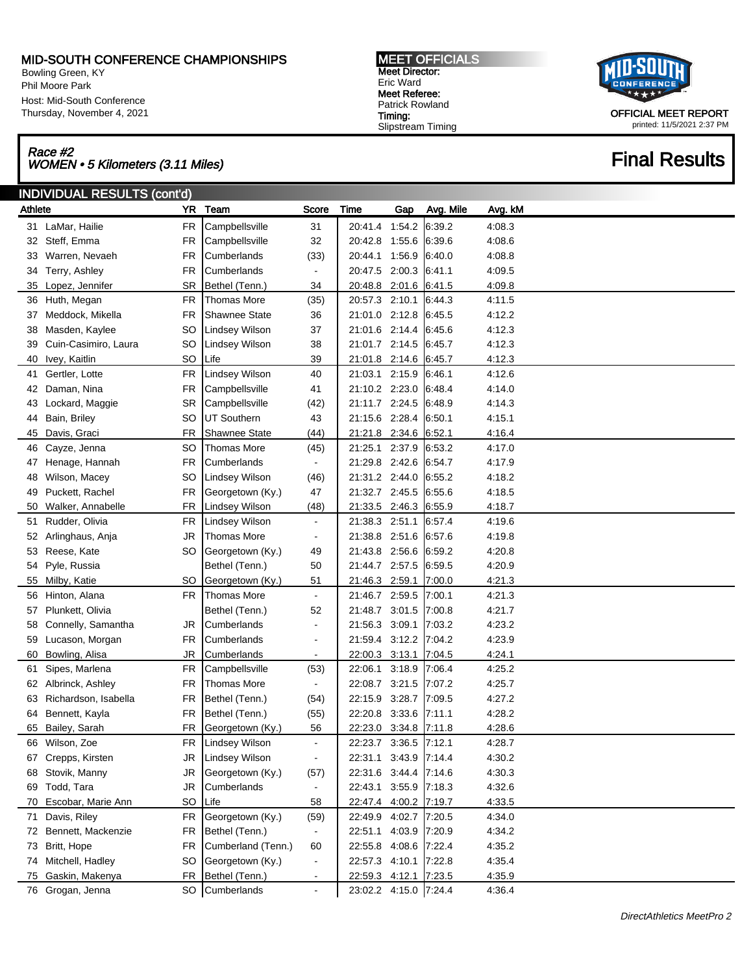## MID-SOUTH CONFERENCE CHAMPIONSHIPS

Bowling Green, KY Phil Moore Park Host: Mid-South Conference Thursday, November 4, 2021

### MEET OFFICIALS Meet Director: Eric Ward Meet Referee: Patrick Rowland Timing: Slipstream Timing



OFFICIAL MEET REPORT printed: 11/5/2021 2:37 PM

### Race #2 Race #2<br>WOMEN • 5 Kilometers (3.11 Miles) Final Results

| <b>INDIVIDUAL RESULTS (cont'd)</b> |                      |               |                       |                              |                       |        |           |         |
|------------------------------------|----------------------|---------------|-----------------------|------------------------------|-----------------------|--------|-----------|---------|
| Athlete                            |                      | YR            | Team                  | Score                        | Time                  | Gap    | Avg. Mile | Avg. kM |
|                                    | 31 LaMar, Hailie     | <b>FR</b>     | Campbellsville        | 31                           | 20:41.4               | 1:54.2 | 6:39.2    | 4:08.3  |
| 32                                 | Steff, Emma          | <b>FR</b>     | Campbellsville        | 32                           | 20:42.8               | 1:55.6 | 6:39.6    | 4:08.6  |
| 33                                 | Warren, Nevaeh       | FR            | Cumberlands           | (33)                         | 20:44.1               | 1:56.9 | 6:40.0    | 4:08.8  |
| 34                                 | Terry, Ashley        | FR            | Cumberlands           | $\qquad \qquad \blacksquare$ | 20:47.5               | 2:00.3 | 6:41.1    | 4:09.5  |
| 35                                 | Lopez, Jennifer      | SR            | Bethel (Tenn.)        | 34                           | 20:48.8 2:01.6        |        | 6:41.5    | 4:09.8  |
| 36                                 | Huth, Megan          | <b>FR</b>     | Thomas More           | (35)                         | 20:57.3 2:10.1        |        | 6:44.3    | 4:11.5  |
| 37                                 | Meddock, Mikella     | FR            | <b>Shawnee State</b>  | 36                           | 21:01.0 2:12.8        |        | 6:45.5    | 4:12.2  |
| 38                                 | Masden, Kaylee       | SO            | <b>Lindsey Wilson</b> | 37                           | 21:01.6 2:14.4        |        | 6.45.6    | 4:12.3  |
| 39                                 | Cuin-Casimiro, Laura | SO            | <b>Lindsey Wilson</b> | 38                           | 21:01.7 2:14.5        |        | 6:45.7    | 4:12.3  |
| 40                                 | Ivey, Kaitlin        | <sub>SO</sub> | Life                  | 39                           | 21:01.8 2:14.6        |        | 6:45.7    | 4:12.3  |
| 41                                 | Gertler, Lotte       | <b>FR</b>     | <b>Lindsey Wilson</b> | 40                           | 21:03.1 2:15.9        |        | 6:46.1    | 4:12.6  |
| 42                                 | Daman, Nina          | <b>FR</b>     | Campbellsville        | 41                           | 21:10.2 2:23.0        |        | 6:48.4    | 4:14.0  |
| 43                                 | Lockard, Maggie      | <b>SR</b>     | Campbellsville        | (42)                         | 21:11.7 2:24.5        |        | 6:48.9    | 4:14.3  |
| 44                                 | Bain, Briley         | SO            | <b>UT Southern</b>    | 43                           | 21:15.6 2:28.4        |        | 6.50.1    | 4:15.1  |
| 45                                 | Davis, Graci         | <b>FR</b>     | <b>Shawnee State</b>  | (44)                         | 21:21.8 2:34.6        |        | 6:52.1    | 4:16.4  |
| 46                                 | Cayze, Jenna         | SO            | <b>Thomas More</b>    | (45)                         | 21:25.1               | 2:37.9 | 6:53.2    | 4:17.0  |
| 47                                 | Henage, Hannah       | FR            | Cumberlands           | $\blacksquare$               | 21:29.8 2:42.6        |        | 6:54.7    | 4:17.9  |
| 48                                 | Wilson, Macey        | SO            | <b>Lindsey Wilson</b> | (46)                         | 21:31.2 2:44.0        |        | 6:55.2    | 4:18.2  |
| 49                                 | Puckett, Rachel      | <b>FR</b>     | Georgetown (Ky.)      | 47                           | 21:32.7 2:45.5        |        | 6:55.6    | 4:18.5  |
| 50                                 | Walker, Annabelle    | <b>FR</b>     | <b>Lindsey Wilson</b> | (48)                         | 21:33.5 2:46.3        |        | 6:55.9    | 4:18.7  |
| 51                                 | Rudder, Olivia       | <b>FR</b>     | <b>Lindsey Wilson</b> | $\blacksquare$               | 21:38.3 2:51.1        |        | 6:57.4    | 4:19.6  |
| 52                                 | Arlinghaus, Anja     | <b>JR</b>     | <b>Thomas More</b>    | $\blacksquare$               | 21:38.8 2:51.6        |        | 6:57.6    | 4:19.8  |
| 53                                 | Reese, Kate          | SO            | Georgetown (Ky.)      | 49                           | 21:43.8 2:56.6        |        | 6:59.2    | 4:20.8  |
| 54                                 | Pyle, Russia         |               | Bethel (Tenn.)        | 50                           | 21:44.7 2:57.5        |        | 6:59.5    | 4:20.9  |
| 55                                 | Milby, Katie         | SO            | Georgetown (Ky.)      | 51                           | 21:46.3 2:59.1        |        | 7:00.0    | 4:21.3  |
| 56                                 | Hinton, Alana        | <b>FR</b>     | Thomas More           | $\blacksquare$               | 21:46.7               | 2:59.5 | 7:00.1    | 4:21.3  |
| 57                                 | Plunkett, Olivia     |               | Bethel (Tenn.)        | 52                           | 21:48.7               | 3:01.5 | 7:00.8    | 4:21.7  |
| 58                                 | Connelly, Samantha   | JR            | Cumberlands           | $\qquad \qquad \blacksquare$ | 21:56.3               | 3:09.1 | 7:03.2    | 4:23.2  |
| 59                                 | Lucason, Morgan      | FR            | Cumberlands           | $\blacksquare$               | 21:59.4 3:12.2        |        | 7:04.2    | 4:23.9  |
| 60                                 | Bowling, Alisa       | <b>JR</b>     | Cumberlands           | $\blacksquare$               | 22:00.3 3:13.1        |        | 7:04.5    | 4:24.1  |
| 61                                 | Sipes, Marlena       | <b>FR</b>     | Campbellsville        | (53)                         | 22:06.1               | 3:18.9 | 7:06.4    | 4:25.2  |
| 62                                 | Albrinck, Ashley     | FR            | Thomas More           | $\blacksquare$               | 22:08.7 3:21.5        |        | 7:07.2    | 4:25.7  |
| 63                                 | Richardson, Isabella | FR            | Bethel (Tenn.)        | (54)                         | 22:15.9 3:28.7        |        | 7:09.5    | 4.27.2  |
| 64                                 | Bennett, Kayla       | FR            | Bethel (Tenn.)        | (55)                         | 22:20.8               | 3:33.6 | 7:11.1    | 4:28.2  |
|                                    | 65 Bailey, Sarah     | <b>FR</b>     | Georgetown (Ky.)      | 56                           | 22:23.0 3:34.8 7:11.8 |        |           | 4:28.6  |
|                                    | 66 Wilson, Zoe       | FR            | Lindsey Wilson        | $\qquad \qquad \blacksquare$ | 22:23.7 3:36.5        |        | 7:12.1    | 4:28.7  |
| 67                                 | Crepps, Kirsten      | <b>JR</b>     | Lindsey Wilson        | $\blacksquare$               | 22:31.1               | 3:43.9 | 7.14.4    | 4:30.2  |
| 68                                 | Stovik, Manny        | JR            | Georgetown (Ky.)      | (57)                         | 22:31.6 3:44.4        |        | 7:14.6    | 4:30.3  |
| 69                                 | Todd, Tara           | JR            | Cumberlands           | $\blacksquare$               | 22:43.1               | 3:55.9 | 7:18.3    | 4:32.6  |
| 70                                 | Escobar, Marie Ann   | <sub>SO</sub> | Life                  | 58                           | 22:47.4 4:00.2        |        | 7:19.7    | 4:33.5  |
| 71                                 | Davis, Riley         | <b>FR</b>     | Georgetown (Ky.)      | (59)                         | 22:49.9 4:02.7        |        | 7:20.5    | 4:34.0  |
| 72                                 | Bennett, Mackenzie   | FR            | Bethel (Tenn.)        | $\blacksquare$               | 22:51.1               | 4:03.9 | 7:20.9    | 4:34.2  |
| 73                                 | Britt, Hope          | FR            | Cumberland (Tenn.)    | 60                           | 22:55.8 4:08.6        |        | 7:22.4    | 4:35.2  |
| 74                                 | Mitchell, Hadley     | SO            | Georgetown (Ky.)      | $\blacksquare$               | 22:57.3 4:10.1        |        | 7:22.8    | 4:35.4  |
| 75                                 | Gaskin, Makenya      | <b>FR</b>     | Bethel (Tenn.)        | $\blacksquare$               | 22:59.3 4:12.1 7:23.5 |        |           | 4:35.9  |
|                                    | 76 Grogan, Jenna     |               | SO Cumberlands        | $\blacksquare$               | 23:02.2 4:15.0 7:24.4 |        |           | 4:36.4  |